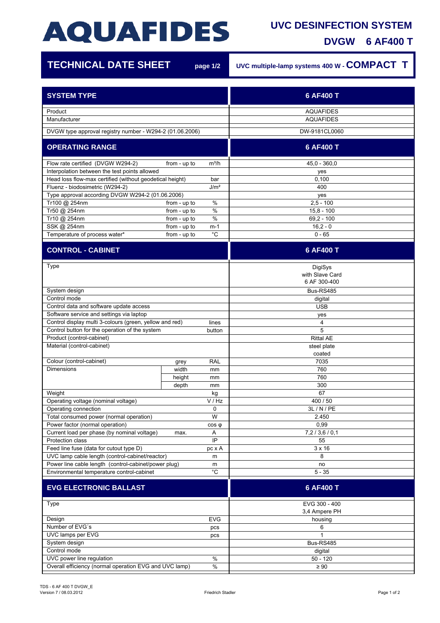## **AQUAFIDES**

## **UVC DESINFECTION SYSTEM**

**DVGW 6 AF400 T**

1Ì

| <b>TECHNICAL DATE SHEET</b>                                     |              | page 1/2    | UVC multiple-lamp systems 400 W - COMPACT T |
|-----------------------------------------------------------------|--------------|-------------|---------------------------------------------|
| <b>SYSTEM TYPE</b>                                              |              |             | 6 AF400 T                                   |
| Product<br>Manufacturer                                         |              |             | <b>AQUAFIDES</b><br><b>AQUAFIDES</b>        |
| DVGW type approval registry number - W294-2 (01.06.2006)        |              |             | DW-9181CL0060                               |
| <b>OPERATING RANGE</b>                                          |              |             | 6 AF400 T                                   |
| Flow rate certified (DVGW W294-2)                               | from - up to | $m^3/h$     | $45.0 - 360.0$                              |
| Interpolation between the test points allowed                   |              |             | yes                                         |
| Head loss flow-max certified (without geodetical height)<br>bar |              |             | 0,100                                       |
| Fluenz - biodosimetric (W294-2)<br>J/m <sup>2</sup>             |              |             | 400                                         |
| Type approval according DVGW W294-2 (01.06.2006)                |              |             | yes                                         |
| Tr100 @ 254nm                                                   | from - up to | $\%$        | $2,5 - 100$                                 |
| Tr50 @ 254nm                                                    | from - up to | $\%$        | $15.8 - 100$                                |
| Tr10 @ 254nm                                                    | from - up to | $\%$        | $69,2 - 100$                                |
| SSK @ 254nm                                                     | from - up to | $m-1$       | $16,2 - 0$                                  |
| Temperature of process water*                                   | from - up to | $^{\circ}C$ | $0 - 65$                                    |
| <b>CONTROL - CABINET</b>                                        |              |             | 6 AF400 T                                   |
|                                                                 |              |             |                                             |
| Type                                                            |              |             | DigiSys<br>with Slave Card<br>6 AF 300-400  |
| System design                                                   |              |             | Bus-RS485                                   |
| Control mode                                                    |              |             | digital                                     |
| Control data and software update access                         |              |             | <b>USB</b>                                  |
| Software service and settings via laptop                        |              |             | yes                                         |
| Control display multi 3-colours (green, yellow and red)         |              | lines       | 4                                           |
| Control button for the operation of the system<br>button        |              |             | 5                                           |
| Product (control-cabinet)                                       |              |             | <b>Rittal AE</b>                            |
| Material (control-cabinet)                                      |              |             | steel plate<br>coated                       |
| Colour (control-cabinet)                                        | grey         | <b>RAL</b>  | 7035                                        |
| <b>Dimensions</b>                                               | width        | mm          | 760                                         |
|                                                                 | height       | mm          | 760                                         |
|                                                                 | depth        | mm          | 300                                         |
| Weight                                                          |              | kg          | 67                                          |
| V / Hz<br>Operating voltage (nominal voltage)                   |              |             | 400 / 50                                    |
| Operating connection<br>0                                       |              |             | 3L / N / PE                                 |
| W<br>Total consumed power (normal operation)                    |              |             | 2.450                                       |
| Power factor (normal operation)                                 |              | $cos \phi$  | 0,99                                        |
| Current load per phase (by nominal voltage)                     | max.         | Α           | 7,2/3,6/0,1                                 |
| Protection class                                                |              | IP          | 55                                          |
| Feed line fuse (data for cutout type D)                         |              | pc x A      | $3 \times 16$                               |
| UVC lamp cable length (control-cabinet/reactor)<br>m            |              |             | 8                                           |
| Power line cable length (control-cabinet/power plug)<br>m       |              |             | no                                          |
| °C<br>Environmental temperature control-cabinet                 |              |             | $5 - 35$                                    |
| <b>EVG ELECTRONIC BALLAST</b>                                   |              |             | 6 AF400 T                                   |
| <b>Type</b>                                                     |              |             | EVG 300 - 400                               |
|                                                                 |              |             | 3,4 Ampere PH                               |
| Design<br><b>EVG</b>                                            |              |             | housing                                     |
| Number of EVG's<br>pcs                                          |              |             | 6                                           |
| UVC lamps per EVG<br>pcs                                        |              |             | 1                                           |
| System design                                                   |              |             | Bus-RS485                                   |
| Control mode                                                    |              |             | digital                                     |
| UVC power line regulation<br>$\%$                               |              |             | $50 - 120$                                  |
| Overall efficiency (normal operation EVG and UVC lamp)<br>$\%$  |              |             | $\geq 90$                                   |